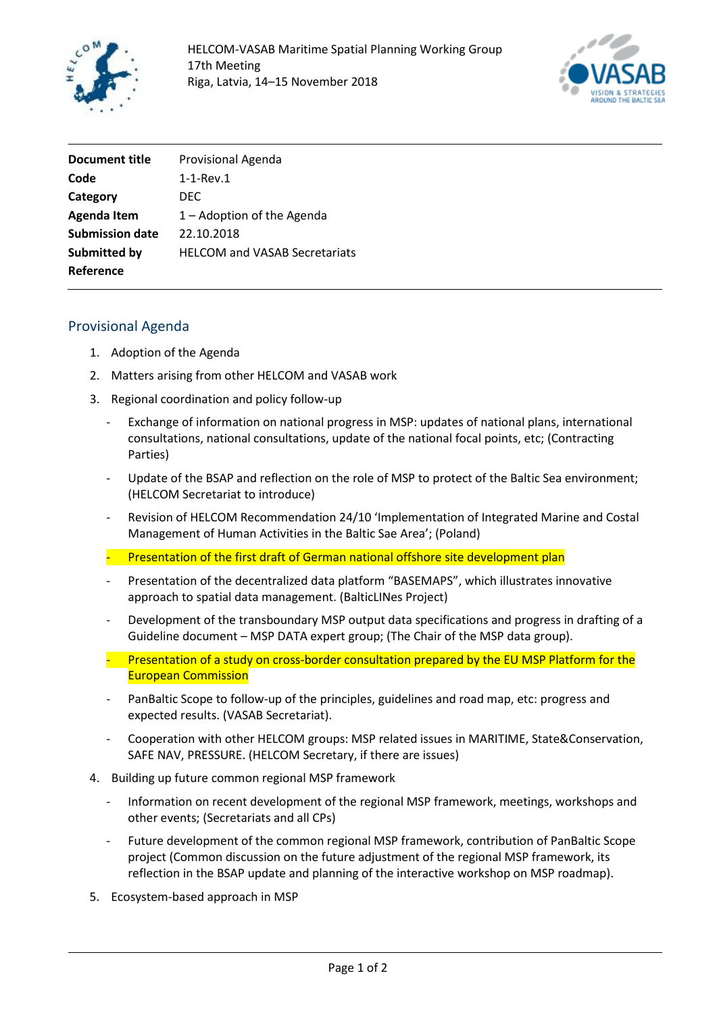



| <b>Document title</b>  | Provisional Agenda                   |
|------------------------|--------------------------------------|
| Code                   | $1-1$ -Rev. $1$                      |
| Category               | DFC.                                 |
| <b>Agenda Item</b>     | $1 -$ Adoption of the Agenda         |
| <b>Submission date</b> | 22.10.2018                           |
| Submitted by           | <b>HELCOM and VASAB Secretariats</b> |
| Reference              |                                      |

## Provisional Agenda

- 1. Adoption of the Agenda
- 2. Matters arising from other HELCOM and VASAB work
- 3. Regional coordination and policy follow-up
	- Exchange of information on national progress in MSP: updates of national plans, international consultations, national consultations, update of the national focal points, etc; (Contracting Parties)
	- Update of the BSAP and reflection on the role of MSP to protect of the Baltic Sea environment; (HELCOM Secretariat to introduce)
	- Revision of HELCOM Recommendation 24/10 'Implementation of Integrated Marine and Costal Management of Human Activities in the Baltic Sae Area'; (Poland)
	- Presentation of the first draft of German national offshore site development plan
	- Presentation of the decentralized data platform "BASEMAPS", which illustrates innovative approach to spatial data management. (BalticLINes Project)
	- Development of the transboundary MSP output data specifications and progress in drafting of a Guideline document – MSP DATA expert group; (The Chair of the MSP data group).
	- $-$  Presentation of a study on cross-border consultation prepared by the EU MSP Platform for the European Commission
	- PanBaltic Scope to follow-up of the principles, guidelines and road map, etc: progress and expected results. (VASAB Secretariat).
	- Cooperation with other HELCOM groups: MSP related issues in MARITIME, State&Conservation, SAFE NAV, PRESSURE. (HELCOM Secretary, if there are issues)
- 4. Building up future common regional MSP framework
	- Information on recent development of the regional MSP framework, meetings, workshops and other events; (Secretariats and all CPs)
	- Future development of the common regional MSP framework, contribution of PanBaltic Scope project (Common discussion on the future adjustment of the regional MSP framework, its reflection in the BSAP update and planning of the interactive workshop on MSP roadmap).
- 5. Ecosystem-based approach in MSP